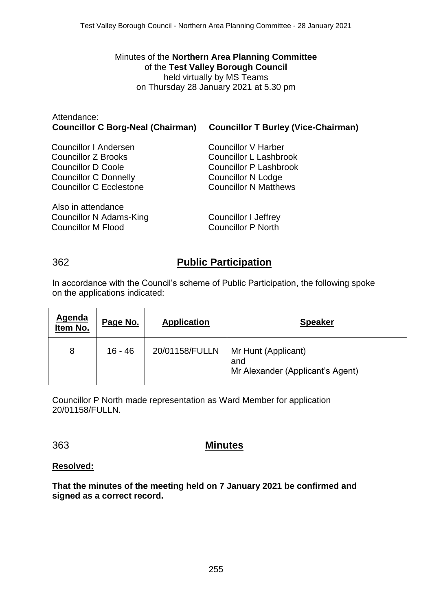Minutes of the **Northern Area Planning Committee** of the **Test Valley Borough Council** held virtually by MS Teams on Thursday 28 January 2021 at 5.30 pm

#### Attendance: **Councillor C Borg-Neal (Chairman) Councillor T Burley (Vice-Chairman)**

Also in attendance Councillor N Adams-King Councillor M Flood

Councillor V Harber Councillor L Lashbrook Councillor P Lashbrook Councillor N Lodge Councillor N Matthews

Councillor I Jeffrey Councillor P North

## 362 **Public Participation**

In accordance with the Council's scheme of Public Participation, the following spoke on the applications indicated:

| <b>Agenda</b><br>Item No. | Page No. | <b>Application</b> | <b>Speaker</b>                                                 |
|---------------------------|----------|--------------------|----------------------------------------------------------------|
| 8                         | 16 - 46  | 20/01158/FULLN     | Mr Hunt (Applicant)<br>and<br>Mr Alexander (Applicant's Agent) |

Councillor P North made representation as Ward Member for application 20/01158/FULLN.

## 363 **Minutes**

### **Resolved:**

**That the minutes of the meeting held on 7 January 2021 be confirmed and signed as a correct record.**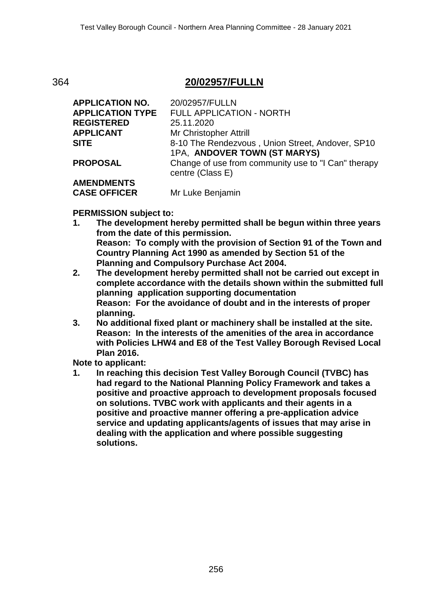## 364 **20/02957/FULLN**

| <b>APPLICATION NO.</b>  | 20/02957/FULLN                                                                   |
|-------------------------|----------------------------------------------------------------------------------|
| <b>APPLICATION TYPE</b> | FULL APPLICATION - NORTH                                                         |
| <b>REGISTERED</b>       | 25.11.2020                                                                       |
| <b>APPLICANT</b>        | Mr Christopher Attrill                                                           |
| <b>SITE</b>             | 8-10 The Rendezvous, Union Street, Andover, SP10<br>1PA, ANDOVER TOWN (ST MARYS) |
| <b>PROPOSAL</b>         | Change of use from community use to "I Can" therapy<br>centre (Class E)          |
| <b>AMENDMENTS</b>       |                                                                                  |
| <b>CASE OFFICER</b>     | Mr Luke Benjamin                                                                 |

#### **PERMISSION subject to:**

- **1. The development hereby permitted shall be begun within three years from the date of this permission. Reason: To comply with the provision of Section 91 of the Town and Country Planning Act 1990 as amended by Section 51 of the Planning and Compulsory Purchase Act 2004.**
- **2. The development hereby permitted shall not be carried out except in complete accordance with the details shown within the submitted full planning application supporting documentation Reason: For the avoidance of doubt and in the interests of proper planning.**
- **3. No additional fixed plant or machinery shall be installed at the site. Reason: In the interests of the amenities of the area in accordance with Policies LHW4 and E8 of the Test Valley Borough Revised Local Plan 2016.**

**Note to applicant:**

**1. In reaching this decision Test Valley Borough Council (TVBC) has had regard to the National Planning Policy Framework and takes a positive and proactive approach to development proposals focused on solutions. TVBC work with applicants and their agents in a positive and proactive manner offering a pre-application advice service and updating applicants/agents of issues that may arise in dealing with the application and where possible suggesting solutions.**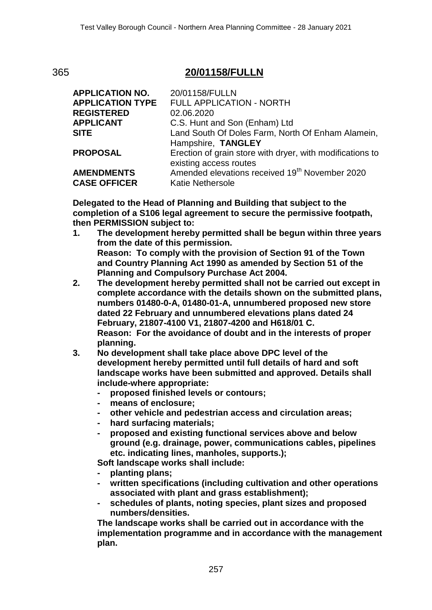# 365 **20/01158/FULLN**

| <b>APPLICATION NO.</b>  | 20/01158/FULLN                                             |
|-------------------------|------------------------------------------------------------|
| <b>APPLICATION TYPE</b> | FULL APPLICATION - NORTH                                   |
| <b>REGISTERED</b>       | 02.06.2020                                                 |
| <b>APPLICANT</b>        | C.S. Hunt and Son (Enham) Ltd                              |
| <b>SITE</b>             | Land South Of Doles Farm, North Of Enham Alamein,          |
|                         | Hampshire, TANGLEY                                         |
| <b>PROPOSAL</b>         | Erection of grain store with dryer, with modifications to  |
|                         | existing access routes                                     |
| <b>AMENDMENTS</b>       | Amended elevations received 19 <sup>th</sup> November 2020 |
| <b>CASE OFFICER</b>     | <b>Katie Nethersole</b>                                    |

**Delegated to the Head of Planning and Building that subject to the completion of a S106 legal agreement to secure the permissive footpath, then PERMISSION subject to:**

- **1. The development hereby permitted shall be begun within three years from the date of this permission. Reason: To comply with the provision of Section 91 of the Town and Country Planning Act 1990 as amended by Section 51 of the Planning and Compulsory Purchase Act 2004.**
- **2. The development hereby permitted shall not be carried out except in complete accordance with the details shown on the submitted plans, numbers 01480-0-A, 01480-01-A, unnumbered proposed new store dated 22 February and unnumbered elevations plans dated 24 February, 21807-4100 V1, 21807-4200 and H618/01 C. Reason: For the avoidance of doubt and in the interests of proper planning.**
- **3. No development shall take place above DPC level of the development hereby permitted until full details of hard and soft landscape works have been submitted and approved. Details shall include-where appropriate:** 
	- **- proposed finished levels or contours;**
	- **- means of enclosure;**
	- **- other vehicle and pedestrian access and circulation areas;**
	- **- hard surfacing materials;**
	- **- proposed and existing functional services above and below ground (e.g. drainage, power, communications cables, pipelines etc. indicating lines, manholes, supports.);**

**Soft landscape works shall include:**

- **- planting plans;**
- **- written specifications (including cultivation and other operations associated with plant and grass establishment);**
- **- schedules of plants, noting species, plant sizes and proposed numbers/densities.**

**The landscape works shall be carried out in accordance with the implementation programme and in accordance with the management plan.**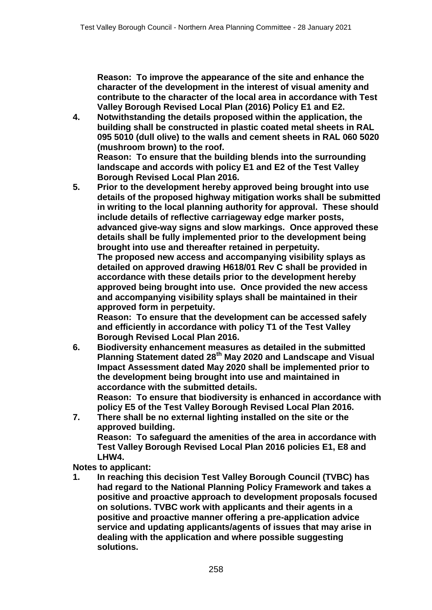**Reason: To improve the appearance of the site and enhance the character of the development in the interest of visual amenity and contribute to the character of the local area in accordance with Test Valley Borough Revised Local Plan (2016) Policy E1 and E2.**

- **4. Notwithstanding the details proposed within the application, the building shall be constructed in plastic coated metal sheets in RAL 095 5010 (dull olive) to the walls and cement sheets in RAL 060 5020 (mushroom brown) to the roof. Reason: To ensure that the building blends into the surrounding landscape and accords with policy E1 and E2 of the Test Valley**
- **Borough Revised Local Plan 2016. 5. Prior to the development hereby approved being brought into use details of the proposed highway mitigation works shall be submitted in writing to the local planning authority for approval. These should include details of reflective carriageway edge marker posts, advanced give-way signs and slow markings. Once approved these details shall be fully implemented prior to the development being brought into use and thereafter retained in perpetuity. The proposed new access and accompanying visibility splays as detailed on approved drawing H618/01 Rev C shall be provided in accordance with these details prior to the development hereby approved being brought into use. Once provided the new access and accompanying visibility splays shall be maintained in their approved form in perpetuity.**

**Reason: To ensure that the development can be accessed safely and efficiently in accordance with policy T1 of the Test Valley Borough Revised Local Plan 2016.**

**6. Biodiversity enhancement measures as detailed in the submitted Planning Statement dated 28th May 2020 and Landscape and Visual Impact Assessment dated May 2020 shall be implemented prior to the development being brought into use and maintained in accordance with the submitted details.**

**Reason: To ensure that biodiversity is enhanced in accordance with policy E5 of the Test Valley Borough Revised Local Plan 2016.**

**7. There shall be no external lighting installed on the site or the approved building. Reason: To safeguard the amenities of the area in accordance with Test Valley Borough Revised Local Plan 2016 policies E1, E8 and LHW4.**

**Notes to applicant:**

**1. In reaching this decision Test Valley Borough Council (TVBC) has had regard to the National Planning Policy Framework and takes a positive and proactive approach to development proposals focused on solutions. TVBC work with applicants and their agents in a positive and proactive manner offering a pre-application advice service and updating applicants/agents of issues that may arise in dealing with the application and where possible suggesting solutions.**